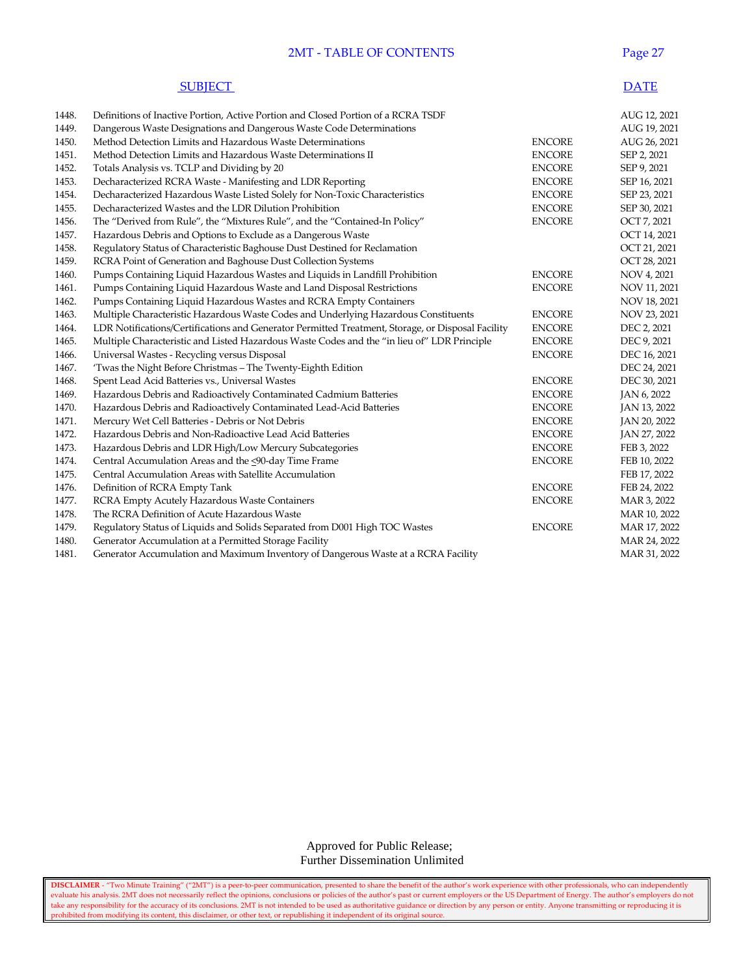## 2MT - TABLE OF CONTENTS Page 27

## **SUBJECT** DATE

| 1448. | Definitions of Inactive Portion, Active Portion and Closed Portion of a RCRA TSDF                 |               | AUG 12, 2021 |
|-------|---------------------------------------------------------------------------------------------------|---------------|--------------|
| 1449. | Dangerous Waste Designations and Dangerous Waste Code Determinations                              |               | AUG 19, 2021 |
| 1450. | Method Detection Limits and Hazardous Waste Determinations                                        | <b>ENCORE</b> | AUG 26, 2021 |
| 1451. | Method Detection Limits and Hazardous Waste Determinations II                                     | <b>ENCORE</b> | SEP 2, 2021  |
| 1452. | Totals Analysis vs. TCLP and Dividing by 20                                                       | <b>ENCORE</b> | SEP 9, 2021  |
| 1453. | Decharacterized RCRA Waste - Manifesting and LDR Reporting                                        | <b>ENCORE</b> | SEP 16, 2021 |
| 1454. | Decharacterized Hazardous Waste Listed Solely for Non-Toxic Characteristics                       | <b>ENCORE</b> | SEP 23, 2021 |
| 1455. | Decharacterized Wastes and the LDR Dilution Prohibition                                           | <b>ENCORE</b> | SEP 30, 2021 |
| 1456. | The "Derived from Rule", the "Mixtures Rule", and the "Contained-In Policy"                       | <b>ENCORE</b> | OCT 7, 2021  |
| 1457. | Hazardous Debris and Options to Exclude as a Dangerous Waste                                      |               | OCT 14, 2021 |
| 1458. | Regulatory Status of Characteristic Baghouse Dust Destined for Reclamation                        |               | OCT 21, 2021 |
| 1459. | RCRA Point of Generation and Baghouse Dust Collection Systems                                     |               | OCT 28, 2021 |
| 1460. | Pumps Containing Liquid Hazardous Wastes and Liquids in Landfill Prohibition                      | <b>ENCORE</b> | NOV 4, 2021  |
| 1461. | Pumps Containing Liquid Hazardous Waste and Land Disposal Restrictions                            | <b>ENCORE</b> | NOV 11, 2021 |
| 1462. | Pumps Containing Liquid Hazardous Wastes and RCRA Empty Containers                                |               | NOV 18, 2021 |
| 1463. | Multiple Characteristic Hazardous Waste Codes and Underlying Hazardous Constituents               | <b>ENCORE</b> | NOV 23, 2021 |
| 1464. | LDR Notifications/Certifications and Generator Permitted Treatment, Storage, or Disposal Facility | <b>ENCORE</b> | DEC 2, 2021  |
| 1465. | Multiple Characteristic and Listed Hazardous Waste Codes and the "in lieu of" LDR Principle       | <b>ENCORE</b> | DEC 9, 2021  |
| 1466. | Universal Wastes - Recycling versus Disposal                                                      | <b>ENCORE</b> | DEC 16, 2021 |
| 1467. | 'Twas the Night Before Christmas - The Twenty-Eighth Edition                                      |               | DEC 24, 2021 |
| 1468. | Spent Lead Acid Batteries vs., Universal Wastes                                                   | <b>ENCORE</b> | DEC 30, 2021 |
| 1469. | Hazardous Debris and Radioactively Contaminated Cadmium Batteries                                 | <b>ENCORE</b> | JAN 6, 2022  |
| 1470. | Hazardous Debris and Radioactively Contaminated Lead-Acid Batteries                               | <b>ENCORE</b> | JAN 13, 2022 |
| 1471. | Mercury Wet Cell Batteries - Debris or Not Debris                                                 | <b>ENCORE</b> | JAN 20, 2022 |
| 1472. | Hazardous Debris and Non-Radioactive Lead Acid Batteries                                          | <b>ENCORE</b> | JAN 27, 2022 |
| 1473. | Hazardous Debris and LDR High/Low Mercury Subcategories                                           | <b>ENCORE</b> | FEB 3, 2022  |
| 1474. | Central Accumulation Areas and the <90-day Time Frame                                             | <b>ENCORE</b> | FEB 10, 2022 |
| 1475. | Central Accumulation Areas with Satellite Accumulation                                            |               | FEB 17, 2022 |
| 1476. | Definition of RCRA Empty Tank                                                                     | <b>ENCORE</b> | FEB 24, 2022 |
| 1477. | RCRA Empty Acutely Hazardous Waste Containers                                                     | <b>ENCORE</b> | MAR 3, 2022  |
| 1478. | The RCRA Definition of Acute Hazardous Waste                                                      |               | MAR 10, 2022 |
| 1479. | Regulatory Status of Liquids and Solids Separated from D001 High TOC Wastes                       | <b>ENCORE</b> | MAR 17, 2022 |
| 1480. | Generator Accumulation at a Permitted Storage Facility                                            |               | MAR 24, 2022 |
| 1481. | Generator Accumulation and Maximum Inventory of Dangerous Waste at a RCRA Facility                |               | MAR 31, 2022 |

 Approved for Public Release; Further Dissemination Unlimited

**DISCLAIMER** - "Two Minute Training" ("2MT") is a peer-to-peer communication, presented to share the benefit of the author's work experience with other professionals, who can independently evaluate his analysis. 2MT does not necessarily reflect the opinions, conclusions or policies of the author's past or current employers or the US Department of Energy. The author's employers do not take any responsibility for the accuracy of its conclusions. 2MT is not intended to be used as authoritative guidance or direction by any person or entity. Anyone transmitting or reproducing it is prohibited from modifying its content, this disclaimer, or other text, or republishing it independent of its original source.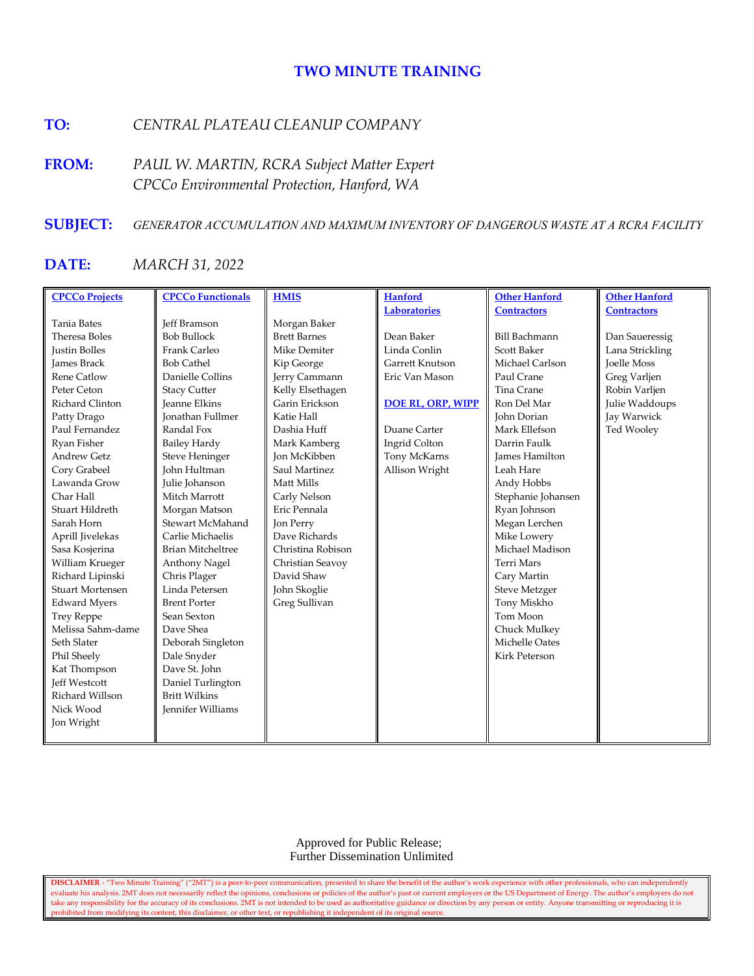# **TWO MINUTE TRAINING**

# **TO:** *CENTRAL PLATEAU CLEANUP COMPANY*

**FROM:** *PAUL W. MARTIN, RCRA Subject Matter Expert CPCCo Environmental Protection, Hanford, WA*

# **SUBJECT:** *GENERATOR ACCUMULATION AND MAXIMUM INVENTORY OF DANGEROUS WASTE AT A RCRA FACILITY*

# **DATE:** *MARCH 31, 2022*

| <b>CPCCo Projects</b>   | <b>CPCCo Functionals</b> | <b>HMIS</b>         | <b>Hanford</b>           | <b>Other Hanford</b>  | <b>Other Hanford</b> |
|-------------------------|--------------------------|---------------------|--------------------------|-----------------------|----------------------|
|                         |                          |                     | Laboratories             | <b>Contractors</b>    | <b>Contractors</b>   |
| <b>Tania Bates</b>      | <b>Jeff Bramson</b>      | Morgan Baker        |                          |                       |                      |
| Theresa Boles           | <b>Bob Bullock</b>       | <b>Brett Barnes</b> | Dean Baker               | <b>Bill Bachmann</b>  | Dan Saueressig       |
| <b>Justin Bolles</b>    | Frank Carleo             | Mike Demiter        | Linda Conlin             | <b>Scott Baker</b>    | Lana Strickling      |
| <b>James Brack</b>      | <b>Bob Cathel</b>        | Kip George          | Garrett Knutson          | Michael Carlson       | <b>Joelle Moss</b>   |
| <b>Rene Catlow</b>      | Danielle Collins         | Jerry Cammann       | Eric Van Mason           | Paul Crane            | Greg Varljen         |
| Peter Ceton             | <b>Stacy Cutter</b>      | Kelly Elsethagen    |                          | Tina Crane            | Robin Varljen        |
| Richard Clinton         | <b>Jeanne Elkins</b>     | Garin Erickson      | <b>DOE RL, ORP, WIPP</b> | Ron Del Mar           | Julie Waddoups       |
| Patty Drago             | <b>Ionathan Fullmer</b>  | Katie Hall          |                          | John Dorian           | Jay Warwick          |
| Paul Fernandez          | Randal Fox               | Dashia Huff         | Duane Carter             | Mark Ellefson         | Ted Wooley           |
| Ryan Fisher             | <b>Bailey Hardy</b>      | Mark Kamberg        | Ingrid Colton            | Darrin Faulk          |                      |
| <b>Andrew Getz</b>      | <b>Steve Heninger</b>    | <b>Jon McKibben</b> | Tony McKarns             | <b>James Hamilton</b> |                      |
| Cory Grabeel            | <b>John Hultman</b>      | Saul Martinez       | Allison Wright           | Leah Hare             |                      |
| Lawanda Grow            | Julie Johanson           | Matt Mills          |                          | Andy Hobbs            |                      |
| Char Hall               | Mitch Marrott            | Carly Nelson        |                          | Stephanie Johansen    |                      |
| Stuart Hildreth         | Morgan Matson            | Eric Pennala        |                          | Ryan Johnson          |                      |
| Sarah Horn              | Stewart McMahand         | Jon Perry           |                          | Megan Lerchen         |                      |
| Aprill Jivelekas        | Carlie Michaelis         | Dave Richards       |                          | Mike Lowery           |                      |
| Sasa Kosjerina          | <b>Brian Mitcheltree</b> | Christina Robison   |                          | Michael Madison       |                      |
| William Krueger         | Anthony Nagel            | Christian Seavoy    |                          | <b>Terri Mars</b>     |                      |
| Richard Lipinski        | Chris Plager             | David Shaw          |                          | Cary Martin           |                      |
| <b>Stuart Mortensen</b> | Linda Petersen           | John Skoglie        |                          | Steve Metzger         |                      |
| <b>Edward Myers</b>     | <b>Brent Porter</b>      | Greg Sullivan       |                          | Tony Miskho           |                      |
| <b>Trey Reppe</b>       | Sean Sexton              |                     |                          | Tom Moon              |                      |
| Melissa Sahm-dame       | Dave Shea                |                     |                          | Chuck Mulkey          |                      |
| Seth Slater             | Deborah Singleton        |                     |                          | Michelle Oates        |                      |
| Phil Sheely             | Dale Snyder              |                     |                          | <b>Kirk Peterson</b>  |                      |
| Kat Thompson            | Dave St. John            |                     |                          |                       |                      |
| <b>Jeff Westcott</b>    | Daniel Turlington        |                     |                          |                       |                      |
| Richard Willson         | <b>Britt Wilkins</b>     |                     |                          |                       |                      |
| Nick Wood               | <b>Jennifer Williams</b> |                     |                          |                       |                      |
| Jon Wright              |                          |                     |                          |                       |                      |
|                         |                          |                     |                          |                       |                      |

 Approved for Public Release; Further Dissemination Unlimited

**DISCLAIMER** - "Two Minute Training" ("2MT") is a peer-to-peer communication, presented to share the benefit of the author's work experience with other professionals, who can independently evaluate his analysis. 2MT does not necessarily reflect the opinions, conclusions or policies of the author's past or current employers or the US Department of Energy. The author's employers do not take any responsibility for the accuracy of its conclusions. 2MT is not intended to be used as authoritative guidance or direction by any person or entity. Anyone transmitting or reproducing it is prohibited from modifying its content, this disclaimer, or other text, or republishing it independent of its original source.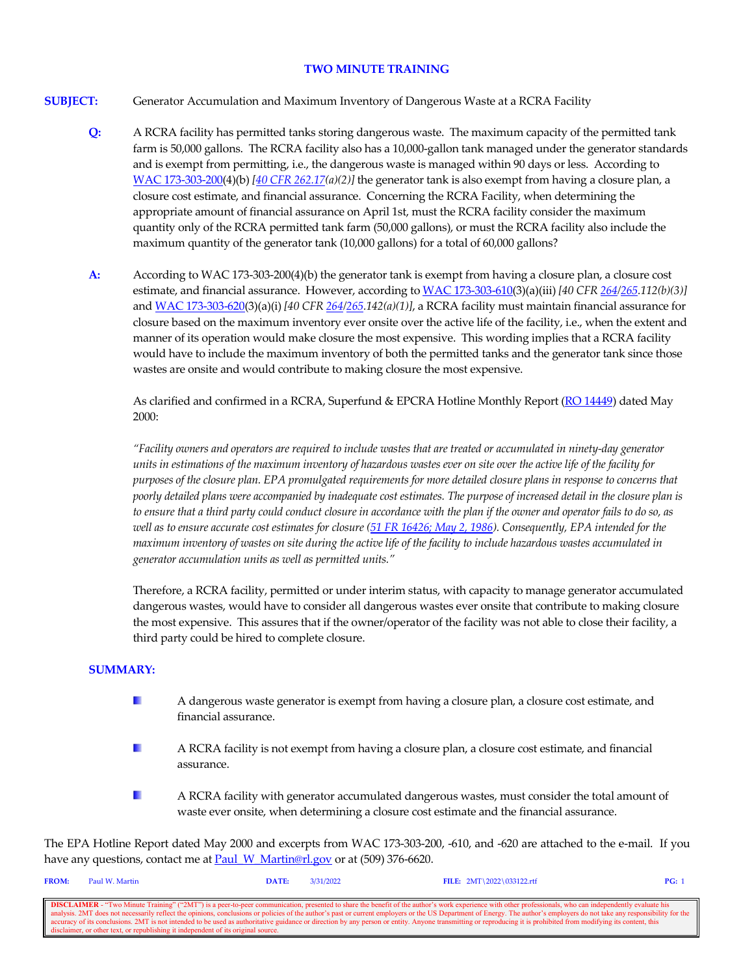#### **TWO MINUTE TRAINING**

- **SUBJECT:** Generator Accumulation and Maximum Inventory of Dangerous Waste at a RCRA Facility
	- **Q:** A RCRA facility has permitted tanks storing dangerous waste. The maximum capacity of the permitted tank farm is 50,000 gallons. The RCRA facility also has a 10,000-gallon tank managed under the generator standards and is exempt from permitting, i.e., the dangerous waste is managed within 90 days or less. According to [WAC 173-303-200\(](https://apps.leg.wa.gov/wac/default.aspx?cite=173-303-200)4)(b) *[\[40 CFR 262.17\(](https://www.govinfo.gov/content/pkg/CFR-2021-title40-vol28/xml/CFR-2021-title40-vol28-sec262-17.xml)a)(2)]* the generator tank is also exempt from having a closure plan, a closure cost estimate, and financial assurance. Concerning the RCRA Facility, when determining the appropriate amount of financial assurance on April 1st, must the RCRA facility consider the maximum quantity only of the RCRA permitted tank farm (50,000 gallons), or must the RCRA facility also include the maximum quantity of the generator tank (10,000 gallons) for a total of 60,000 gallons?
	- **A:** According to WAC 173-303-200(4)(b) the generator tank is exempt from having a closure plan, a closure cost estimate, and financial assurance. However, according t[o WAC 173-303-610\(](https://app.leg.wa.gov/WAC/default.aspx?cite=173-303-610)3)(a)(iii) *[40 CF[R 264](https://www.govinfo.gov/content/pkg/CFR-2021-title40-vol28/xml/CFR-2021-title40-vol28-sec264-112.xml)[/265.](https://www.govinfo.gov/content/pkg/CFR-2021-title40-vol28/xml/CFR-2021-title40-vol28-sec265-112.xml)112(b)(3)]* and [WAC 173-303-620\(](https://app.leg.wa.gov/WAC/default.aspx?cite=173-303-620)3)(a)(i) *[40 CFR [264](https://www.govinfo.gov/content/pkg/CFR-2021-title40-vol28/xml/CFR-2021-title40-vol28-sec264-142.xml)[/265.](https://www.govinfo.gov/content/pkg/CFR-2021-title40-vol28/xml/CFR-2021-title40-vol28-sec265-142.xml)142(a)(1)]*, a RCRA facility must maintain financial assurance for closure based on the maximum inventory ever onsite over the active life of the facility, i.e., when the extent and manner of its operation would make closure the most expensive. This wording implies that a RCRA facility would have to include the maximum inventory of both the permitted tanks and the generator tank since those wastes are onsite and would contribute to making closure the most expensive.

As clarified and confirmed in a RCRA, Superfund & EPCRA Hotline Monthly Report [\(RO 14449\)](https://rcrapublic.epa.gov/files/14449.pdf) dated May 2000:

*"Facility owners and operators are required to include wastes that are treated or accumulated in ninety-day generator units in estimations of the maximum inventory of hazardous wastes ever on site over the active life of the facility for purposes of the closure plan. EPA promulgated requirements for more detailed closure plans in response to concerns that poorly detailed plans were accompanied by inadequate cost estimates. The purpose of increased detail in the closure plan is to ensure that a third party could conduct closure in accordance with the plan if the owner and operator fails to do so, as well as to ensure accurate cost estimates for closure [\(51 FR 16426; May 2, 1986\)](https://www.govinfo.gov/content/pkg/FR-1986-05-02/pdf/FR-1986-05-02.pdf). Consequently, EPA intended for the maximum inventory of wastes on site during the active life of the facility to include hazardous wastes accumulated in generator accumulation units as well as permitted units."*

Therefore, a RCRA facility, permitted or under interim status, with capacity to manage generator accumulated dangerous wastes, would have to consider all dangerous wastes ever onsite that contribute to making closure the most expensive. This assures that if the owner/operator of the facility was not able to close their facility, a third party could be hired to complete closure.

#### **SUMMARY:**

- L. A dangerous waste generator is exempt from having a closure plan, a closure cost estimate, and financial assurance.
- H. A RCRA facility is not exempt from having a closure plan, a closure cost estimate, and financial assurance.
- H. A RCRA facility with generator accumulated dangerous wastes, must consider the total amount of waste ever onsite, when determining a closure cost estimate and the financial assurance.

The EPA Hotline Report dated May 2000 and excerpts from WAC 173-303-200, -610, and -620 are attached to the e-mail. If you have any questions, contact me at **Paul\_W\_Martin@rl.gov** or at (509) 376-6620.

| <b>FROM:</b>                                                                                                                                                                                                             | Paul W. Martin                                                                    | DATE: | 3/31/2022 | FILE: $2MT\2022\033122.rtf$ | PG: |  |
|--------------------------------------------------------------------------------------------------------------------------------------------------------------------------------------------------------------------------|-----------------------------------------------------------------------------------|-------|-----------|-----------------------------|-----|--|
|                                                                                                                                                                                                                          |                                                                                   |       |           |                             |     |  |
| <b>DISCLAIMER</b> - "Two Minute Training" ("2MT") is a peer-to-peer communication, presented to share the benefit of the author's work experience with other professionals, who can independently evaluate his           |                                                                                   |       |           |                             |     |  |
| analysis. 2MT does not necessarily reflect the opinions, conclusions or policies of the author's past or current employers or the US Department of Energy. The author's employers do not take any responsibility for the |                                                                                   |       |           |                             |     |  |
| accuracy of its conclusions. 2MT is not intended to be used as authoritative guidance or direction by any person or entity. Anyone transmitting or reproducing it is prohibited from modifying its content, this         |                                                                                   |       |           |                             |     |  |
|                                                                                                                                                                                                                          | disclaimer, or other text, or republishing it independent of its original source. |       |           |                             |     |  |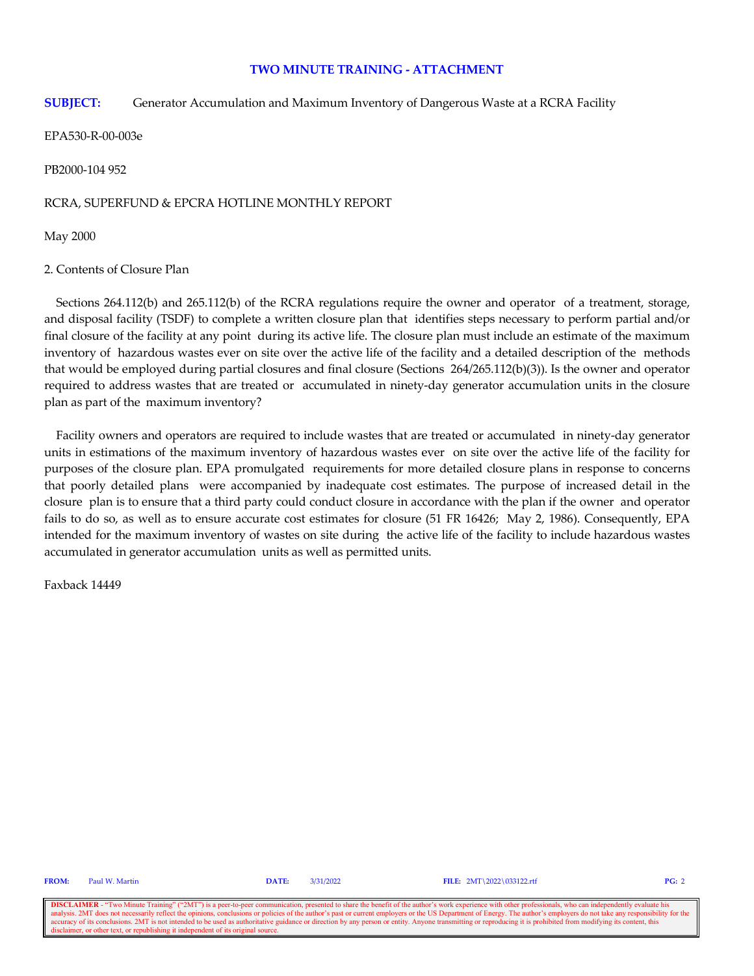#### **TWO MINUTE TRAINING - ATTACHMENT**

#### **SUBJECT:** Generator Accumulation and Maximum Inventory of Dangerous Waste at a RCRA Facility

EPA530-R-00-003e

PB2000-104 952

#### RCRA, SUPERFUND & EPCRA HOTLINE MONTHLY REPORT

May 2000

#### 2. Contents of Closure Plan

Sections 264.112(b) and 265.112(b) of the RCRA regulations require the owner and operator of a treatment, storage, and disposal facility (TSDF) to complete a written closure plan that identifies steps necessary to perform partial and/or final closure of the facility at any point during its active life. The closure plan must include an estimate of the maximum inventory of hazardous wastes ever on site over the active life of the facility and a detailed description of the methods that would be employed during partial closures and final closure (Sections 264/265.112(b)(3)). Is the owner and operator required to address wastes that are treated or accumulated in ninety-day generator accumulation units in the closure plan as part of the maximum inventory?

 Facility owners and operators are required to include wastes that are treated or accumulated in ninety-day generator units in estimations of the maximum inventory of hazardous wastes ever on site over the active life of the facility for purposes of the closure plan. EPA promulgated requirements for more detailed closure plans in response to concerns that poorly detailed plans were accompanied by inadequate cost estimates. The purpose of increased detail in the closure plan is to ensure that a third party could conduct closure in accordance with the plan if the owner and operator fails to do so, as well as to ensure accurate cost estimates for closure (51 FR 16426; May 2, 1986). Consequently, EPA intended for the maximum inventory of wastes on site during the active life of the facility to include hazardous wastes accumulated in generator accumulation units as well as permitted units.

Faxback 14449

**FROM:** Paul W. Martin **DATE:** 3/31/2022 **FILE:** 2MT\2022\033122.rtf **PG:** 2

**DISCLAIMER** - "Two Minute Training" ("2MT") is a peer-to-peer communication, presented to share the benefit of the author's work experience with other professionals, who can independently evaluate his analysis. 2MT does n onclusions or policies of the author's past or current employers or the US Department of Energy. The author's employers do not take any resp accuracy of its conclusions. 2MT is not intended to be used as authoritative guidance or direction by any person or entity. Anyone transmitting or reproducing it is prohibited from modifying its content, this disclaimer, o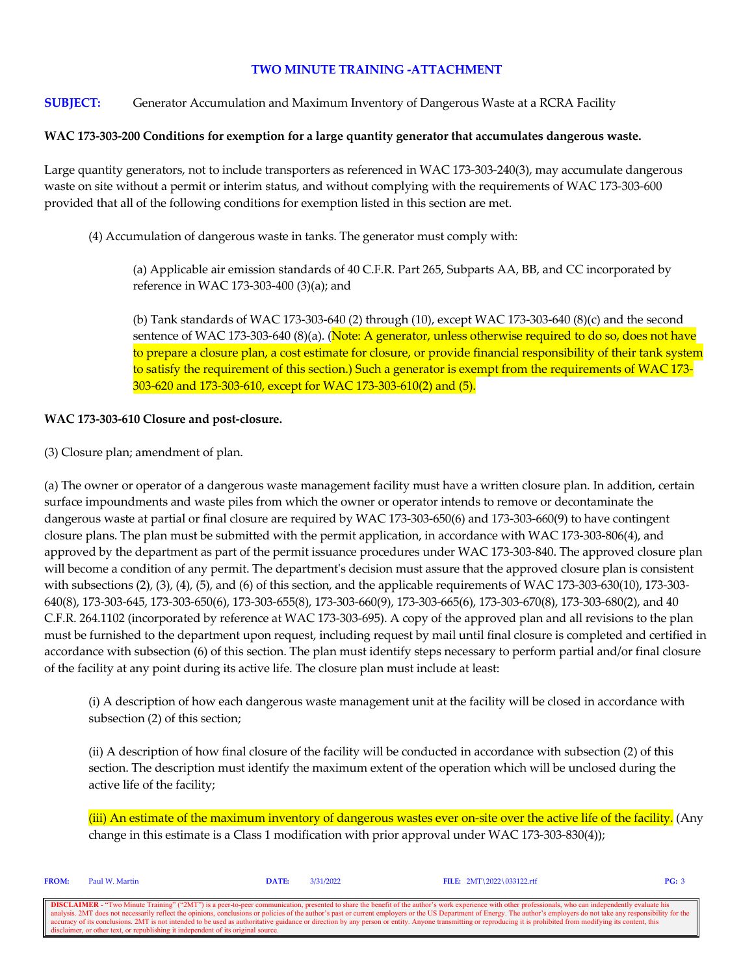# **TWO MINUTE TRAINING -ATTACHMENT**

# **SUBJECT:** Generator Accumulation and Maximum Inventory of Dangerous Waste at a RCRA Facility

### **WAC 173-303-200 Conditions for exemption for a large quantity generator that accumulates dangerous waste.**

Large quantity generators, not to include transporters as referenced in WAC 173-303-240(3), may accumulate dangerous waste on site without a permit or interim status, and without complying with the requirements of WAC 173-303-600 provided that all of the following conditions for exemption listed in this section are met.

(4) Accumulation of dangerous waste in tanks. The generator must comply with:

(a) Applicable air emission standards of 40 C.F.R. Part 265, Subparts AA, BB, and CC incorporated by reference in WAC 173-303-400 (3)(a); and

(b) Tank standards of WAC 173-303-640 (2) through (10), except WAC 173-303-640 (8)(c) and the second sentence of WAC 173-303-640 (8)(a). (Note: A generator, unless otherwise required to do so, does not have to prepare a closure plan, a cost estimate for closure, or provide financial responsibility of their tank system to satisfy the requirement of this section.) Such a generator is exempt from the requirements of WAC 173- 303-620 and 173-303-610, except for WAC 173-303-610(2) and (5).

#### **WAC 173-303-610 Closure and post-closure.**

(3) Closure plan; amendment of plan.

(a) The owner or operator of a dangerous waste management facility must have a written closure plan. In addition, certain surface impoundments and waste piles from which the owner or operator intends to remove or decontaminate the dangerous waste at partial or final closure are required by WAC 173-303-650(6) and 173-303-660(9) to have contingent closure plans. The plan must be submitted with the permit application, in accordance with WAC 173-303-806(4), and approved by the department as part of the permit issuance procedures under WAC 173-303-840. The approved closure plan will become a condition of any permit. The department's decision must assure that the approved closure plan is consistent with subsections (2), (3), (4), (5), and (6) of this section, and the applicable requirements of WAC 173-303-630(10), 173-303-640(8), 173-303-645, 173-303-650(6), 173-303-655(8), 173-303-660(9), 173-303-665(6), 173-303-670(8), 173-303-680(2), and 40 C.F.R. 264.1102 (incorporated by reference at WAC 173-303-695). A copy of the approved plan and all revisions to the plan must be furnished to the department upon request, including request by mail until final closure is completed and certified in accordance with subsection (6) of this section. The plan must identify steps necessary to perform partial and/or final closure of the facility at any point during its active life. The closure plan must include at least:

(i) A description of how each dangerous waste management unit at the facility will be closed in accordance with subsection (2) of this section;

(ii) A description of how final closure of the facility will be conducted in accordance with subsection (2) of this section. The description must identify the maximum extent of the operation which will be unclosed during the active life of the facility;

(iii) An estimate of the maximum inventory of dangerous wastes ever on-site over the active life of the facility. (Any change in this estimate is a Class 1 modification with prior approval under WAC 173-303-830(4));

| <b>FROM:</b>                                                                                                                                                                                                             | Paul W. Martin | DATE: | 3/31/2022 | FILE: $2MT\2022\033122.rtf$ | PG: 3 |  |  |
|--------------------------------------------------------------------------------------------------------------------------------------------------------------------------------------------------------------------------|----------------|-------|-----------|-----------------------------|-------|--|--|
|                                                                                                                                                                                                                          |                |       |           |                             |       |  |  |
| <b>DISCLAIMER</b> - "Two Minute Training" ("2MT") is a peer-to-peer communication, presented to share the benefit of the author's work experience with other professionals, who can independently evaluate his           |                |       |           |                             |       |  |  |
| analysis. 2MT does not necessarily reflect the opinions, conclusions or policies of the author's past or current employers or the US Department of Energy. The author's employers do not take any responsibility for the |                |       |           |                             |       |  |  |
| accuracy of its conclusions. 2MT is not intended to be used as authoritative guidance or direction by any person or entity. Anyone transmitting or reproducing it is prohibited from modifying its content, this         |                |       |           |                             |       |  |  |
| disclaimer, or other text, or republishing it independent of its original source.                                                                                                                                        |                |       |           |                             |       |  |  |